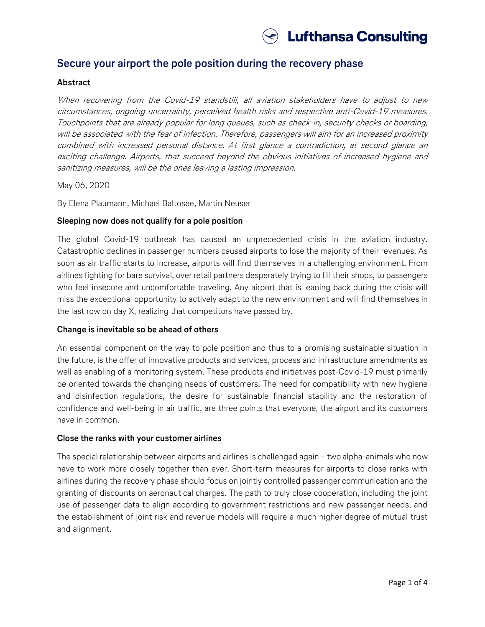

# **Secure your airport the pole position during the recovery phase**

## **Abstract**

When recovering from the Covid-19 standstill, all aviation stakeholders have to adjust to new circumstances, ongoing uncertainty, perceived health risks and respective anti-Covid-19 measures. Touchpoints that are already popular for long queues, such as check-in, security checks or boarding, will be associated with the fear of infection. Therefore, passengers will aim for an increased proximity combined with increased personal distance. At first glance a contradiction, at second glance an exciting challenge. Airports, that succeed beyond the obvious initiatives of increased hygiene and sanitizing measures, will be the ones leaving a lasting impression.

May 06, 2020

By Elena Plaumann, Michael Baltosee, Martin Neuser

## **Sleeping now does not qualify for a pole position**

The global Covid-19 outbreak has caused an unprecedented crisis in the aviation industry. Catastrophic declines in passenger numbers caused airports to lose the majority of their revenues. As soon as air traffic starts to increase, airports will find themselves in a challenging environment. From airlines fighting for bare survival, over retail partners desperately trying to fill their shops, to passengers who feel insecure and uncomfortable traveling. Any airport that is leaning back during the crisis will miss the exceptional opportunity to actively adapt to the new environment and will find themselves in the last row on day X, realizing that competitors have passed by.

#### **Change is inevitable so be ahead of others**

An essential component on the way to pole position and thus to a promising sustainable situation in the future, is the offer of innovative products and services, process and infrastructure amendments as well as enabling of a monitoring system. These products and initiatives post-Covid-19 must primarily be oriented towards the changing needs of customers. The need for compatibility with new hygiene and disinfection regulations, the desire for sustainable financial stability and the restoration of confidence and well-being in air traffic, are three points that everyone, the airport and its customers have in common.

#### **Close the ranks with your customer airlines**

The special relationship between airports and airlines is challenged again – two alpha-animals who now have to work more closely together than ever. Short-term measures for airports to close ranks with airlines during the recovery phase should focus on jointly controlled passenger communication and the granting of discounts on aeronautical charges. The path to truly close cooperation, including the joint use of passenger data to align according to government restrictions and new passenger needs, and the establishment of joint risk and revenue models will require a much higher degree of mutual trust and alignment.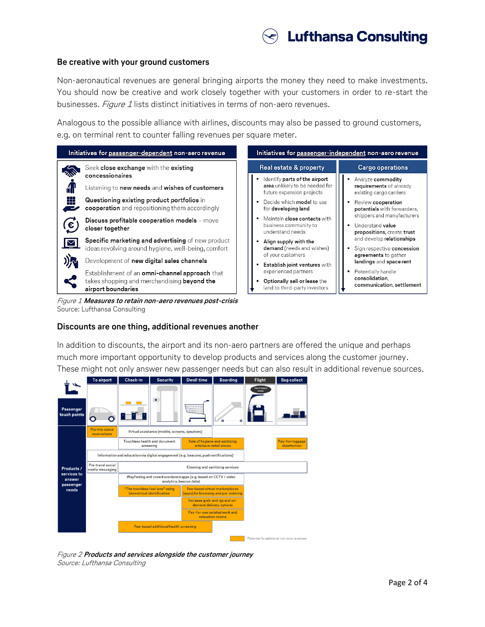

#### **Be creative with your ground customers**

Non-aeronautical revenues are general bringing airports the money they need to make investments. You should now be creative and work closely together with your customers in order to re-start the businesses. Figure 1 lists distinct initiatives in terms of non-aero revenues.

Analogous to the possible alliance with airlines, discounts may also be passed to ground customers, e.g. on terminal rent to counter falling revenues per square meter.



# **Discounts are one thing, additional revenues another**

In addition to discounts, the airport and its non-aero partners are offered the unique and perhaps much more important opportunity to develop products and services along the customer journey. These might not only answer new passenger needs but can also result in additional revenue sources.



Figure 2 **Products and services alongside the customer journey** Source: Lufthansa Consulting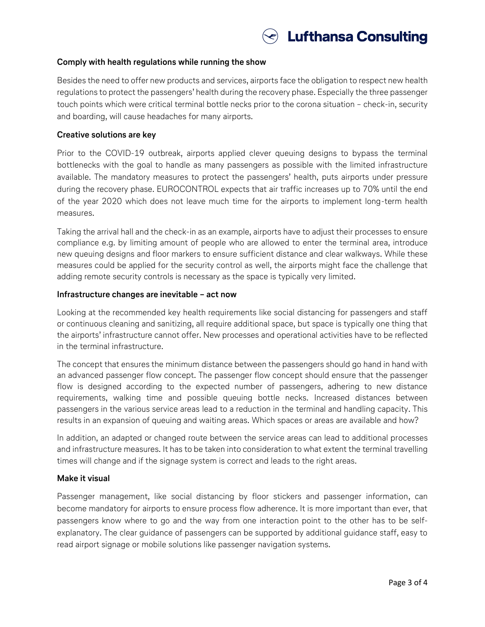

## **Comply with health regulations while running the show**

Besides the need to offer new products and services, airports face the obligation to respect new health regulations to protect the passengers' health during the recovery phase. Especially the three passenger touch points which were critical terminal bottle necks prior to the corona situation – check-in, security and boarding, will cause headaches for many airports.

# **Creative solutions are key**

Prior to the COVID-19 outbreak, airports applied clever queuing designs to bypass the terminal bottlenecks with the goal to handle as many passengers as possible with the limited infrastructure available. The mandatory measures to protect the passengers' health, puts airports under pressure during the recovery phase. EUROCONTROL expects that air traffic increases up to 70% until the end of the year 2020 which does not leave much time for the airports to implement long-term health measures.

Taking the arrival hall and the check-in as an example, airports have to adjust their processes to ensure compliance e.g. by limiting amount of people who are allowed to enter the terminal area, introduce new queuing designs and floor markers to ensure sufficient distance and clear walkways. While these measures could be applied for the security control as well, the airports might face the challenge that adding remote security controls is necessary as the space is typically very limited.

## **Infrastructure changes are inevitable – act now**

Looking at the recommended key health requirements like social distancing for passengers and staff or continuous cleaning and sanitizing, all require additional space, but space is typically one thing that the airports' infrastructure cannot offer. New processes and operational activities have to be reflected in the terminal infrastructure.

The concept that ensures the minimum distance between the passengers should go hand in hand with an advanced passenger flow concept. The passenger flow concept should ensure that the passenger flow is designed according to the expected number of passengers, adhering to new distance requirements, walking time and possible queuing bottle necks. Increased distances between passengers in the various service areas lead to a reduction in the terminal and handling capacity. This results in an expansion of queuing and waiting areas. Which spaces or areas are available and how?

In addition, an adapted or changed route between the service areas can lead to additional processes and infrastructure measures. It has to be taken into consideration to what extent the terminal travelling times will change and if the signage system is correct and leads to the right areas.

# **Make it visual**

Passenger management, like social distancing by floor stickers and passenger information, can become mandatory for airports to ensure process flow adherence. It is more important than ever, that passengers know where to go and the way from one interaction point to the other has to be selfexplanatory. The clear guidance of passengers can be supported by additional guidance staff, easy to read airport signage or mobile solutions like passenger navigation systems.